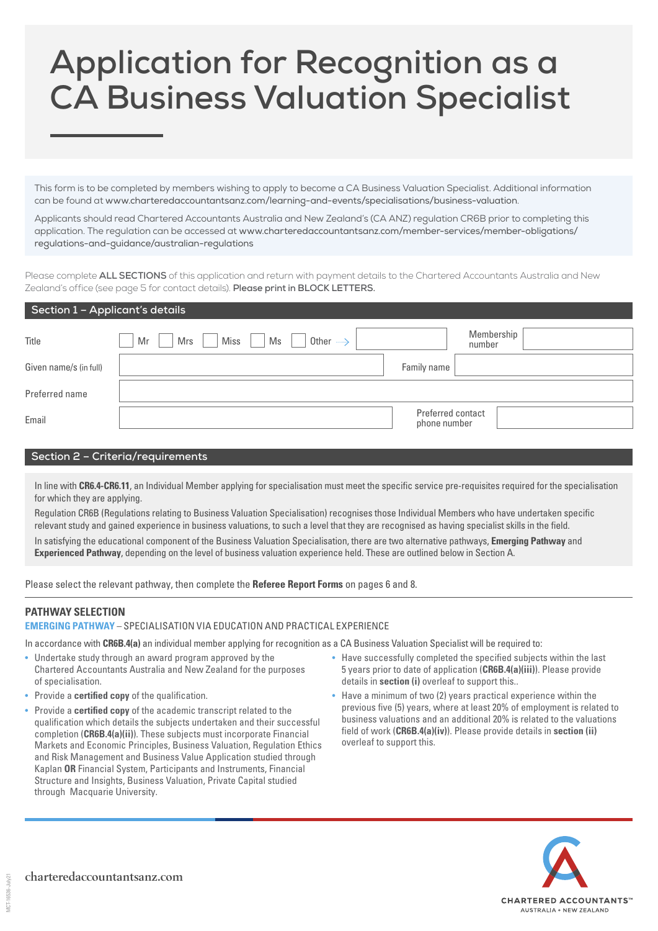## **Application for Recognition as a CA Business Valuation Specialist**

This form is to be completed by members wishing to apply to become a CA Business Valuation Specialist. Additional information can be found at [www.charteredaccountantsanz.com/learning-and-events/specialisations/business-valuation](http://www.charteredaccountantsanz.com/learning-and-events/specialisations/business-valuation).

Applicants should read Chartered Accountants Australia and New Zealand's (CA ANZ) regulation CR6B prior to completing this application. The regulation can be accessed at [www.charteredaccountantsanz.com/member-services/member-obligations/](http://www.charteredaccountantsanz.com/member-services/member-obligations/regulations-and-guidance/australian-regulations) [regulations-and-guidance/australian-regulations](http://www.charteredaccountantsanz.com/member-services/member-obligations/regulations-and-guidance/australian-regulations)

Please complete **ALL SECTIONS** of this application and return with payment details to the Chartered Accountants Australia and New Zealand's office (see page 5 for contact details). **Please print in BLOCK LETTERS.**

| Title                  | Miss<br>Other $\longrightarrow$<br>Ms<br>Mr<br>Mrs |                                   | Membership<br>number |
|------------------------|----------------------------------------------------|-----------------------------------|----------------------|
| Given name/s (in full) |                                                    | Family name                       |                      |
| Preferred name         |                                                    |                                   |                      |
| Email                  |                                                    | Preferred contact<br>phone number |                      |

## **Section 2 – Criteria/requirements**

In line with **CR6.4-CR6.11**, an Individual Member applying for specialisation must meet the specific service pre-requisites required for the specialisation for which they are applying.

Regulation CR6B (Regulations relating to Business Valuation Specialisation) recognises those Individual Members who have undertaken specific relevant study and gained experience in business valuations, to such a level that they are recognised as having specialist skills in the field.

In satisfying the educational component of the Business Valuation Specialisation, there are two alternative pathways, **Emerging Pathway** and **Experienced Pathway**, depending on the level of business valuation experience held. These are outlined below in Section A.

Please select the relevant pathway, then complete the **Referee Report Forms** on pages 6 and 8.

## **PATHWAY SELECTION**

## **EMERGING PATHWAY** – SPECIALISATION VIA EDUCATION AND PRACTICAL EXPERIENCE

In accordance with **CR6B.4(a)** an individual member applying for recognition as a CA Business Valuation Specialist will be required to:

- Undertake study through an award program approved by the Chartered Accountants Australia and New Zealand for the purposes of specialisation.
- Provide a **certified copy** of the qualification.
- Provide a **certified copy** of the academic transcript related to the qualification which details the subjects undertaken and their successful completion (**CR6B.4(a)(ii)**). These subjects must incorporate Financial Markets and Economic Principles, Business Valuation, Regulation Ethics and Risk Management and Business Value Application studied through Kaplan **OR** Financial System, Participants and Instruments, Financial Structure and Insights, Business Valuation, Private Capital studied through Macquarie University.
- Have successfully completed the specified subjects within the last 5 years prior to date of application (**CR6B.4(a)(iii)**). Please provide details in **section (i)** overleaf to support this..
- Have a minimum of two (2) years practical experience within the previous five (5) years, where at least 20% of employment is related to business valuations and an additional 20% is related to the valuations field of work (**CR6B.4(a)(iv)**). Please provide details in **section (ii)** overleaf to support this.

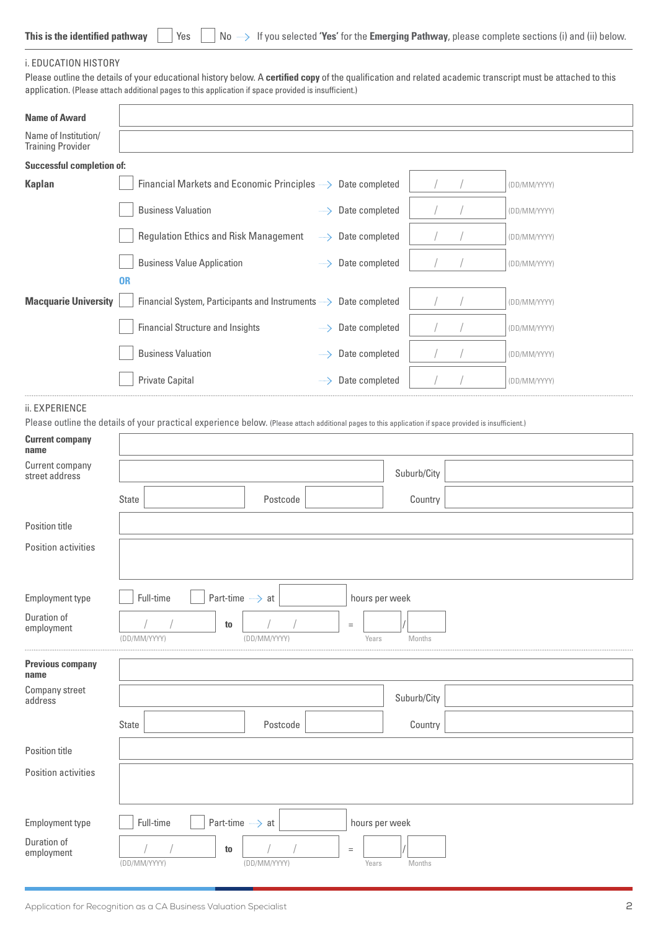|  |  |  |  |  | This is the identified pathway $\ \cdot\ $ Yes $\ \cdot\ $ No $\implies$ If you selected 'Yes' for the Emerging Pathway, please complete sections (i) and (ii) below. |
|--|--|--|--|--|-----------------------------------------------------------------------------------------------------------------------------------------------------------------------|
|--|--|--|--|--|-----------------------------------------------------------------------------------------------------------------------------------------------------------------------|

 $\overline{a}$ 

## i. EDUCATION HISTORY

Please outline the details of your educational history below. A **certified copy** of the qualification and related academic transcript must be attached to this application. (Please attach additional pages to this application if space provided is insufficient.)

|                                                  |              | application. (Please attach additional pages to this application if space provided is insufficient.)                                                   |              |                   |               |              |
|--------------------------------------------------|--------------|--------------------------------------------------------------------------------------------------------------------------------------------------------|--------------|-------------------|---------------|--------------|
| <b>Name of Award</b>                             |              |                                                                                                                                                        |              |                   |               |              |
| Name of Institution/<br><b>Training Provider</b> |              |                                                                                                                                                        |              |                   |               |              |
| <b>Successful completion of:</b>                 |              |                                                                                                                                                        |              |                   |               |              |
| <b>Kaplan</b>                                    |              | Financial Markets and Economic Principles ->>>>>> Date completed                                                                                       |              |                   | $\frac{1}{2}$ | (DD/MM/YYYY) |
|                                                  |              | <b>Business Valuation</b>                                                                                                                              |              | -> Date completed |               | (DD/MM/YYYY) |
|                                                  |              | <b>Regulation Ethics and Risk Management</b>                                                                                                           |              | -> Date completed |               | (DD/MM/YYYY) |
|                                                  |              | <b>Business Value Application</b>                                                                                                                      |              | -> Date completed |               | (DD/MM/YYYY) |
|                                                  | <b>OR</b>    |                                                                                                                                                        |              |                   |               |              |
| <b>Macquarie University</b>                      |              | Financial System, Participants and Instruments ->>>>>> Date completed                                                                                  |              |                   |               | (DD/MM/YYYY) |
|                                                  |              | <b>Financial Structure and Insights</b>                                                                                                                |              | Date completed    |               | (DD/MM/YYYY) |
|                                                  |              | <b>Business Valuation</b>                                                                                                                              |              | Date completed    |               | (DD/MM/YYYY) |
|                                                  |              | <b>Private Capital</b>                                                                                                                                 |              | Date completed    |               | (DD/MM/YYYY) |
| ii. EXPERIENCE                                   |              |                                                                                                                                                        |              |                   |               |              |
|                                                  |              | Please outline the details of your practical experience below. (Please attach additional pages to this application if space provided is insufficient.) |              |                   |               |              |
| <b>Current company</b><br>name                   |              |                                                                                                                                                        |              |                   |               |              |
| Current company<br>street address                |              |                                                                                                                                                        |              |                   | Suburb/City   |              |
|                                                  | <b>State</b> |                                                                                                                                                        | Postcode     |                   | Country       |              |
| Position title                                   |              |                                                                                                                                                        |              |                   |               |              |
| Position activities                              |              |                                                                                                                                                        |              |                   |               |              |
|                                                  |              |                                                                                                                                                        |              |                   |               |              |
| Employment type                                  |              | Full-time<br>Part-time -> at                                                                                                                           |              | hours per week    |               |              |
| Duration of<br>employment                        |              | to<br>(DD/MM/YYYY)                                                                                                                                     | (DD/MM/YYYY) | $=$<br>Years      | Months        |              |
| <b>Previous company</b><br>name                  |              |                                                                                                                                                        |              |                   |               |              |
| Company street<br>address                        |              |                                                                                                                                                        |              |                   | Suburb/City   |              |
|                                                  | <b>State</b> |                                                                                                                                                        | Postcode     |                   | Country       |              |

Employment type  $\Box$  Full-time  $\Box$  Part-time  $\rightarrow$  at hours per week

**Examployment**  $\begin{array}{c|c|c|c|c} & / & / & \hline \end{array}$  **to**  $\begin{array}{c|c|c} & / & / & \hline \end{array}$   $\begin{array}{c|c|c} \hline & / & / & \hline \end{array}$   $\begin{array}{c|c|c} \hline \end{array}$   $\begin{array}{c|c|c} \hline \end{array}$   $\begin{array}{c|c} \hline \end{array}$   $\begin{array}{c|c} \hline \end{array}$   $\begin{array}{c|c} \hline \end{array}$   $\begin{array}{c} \$ 

(DD/MM/YYYY)

Position title

Duration of

Position activities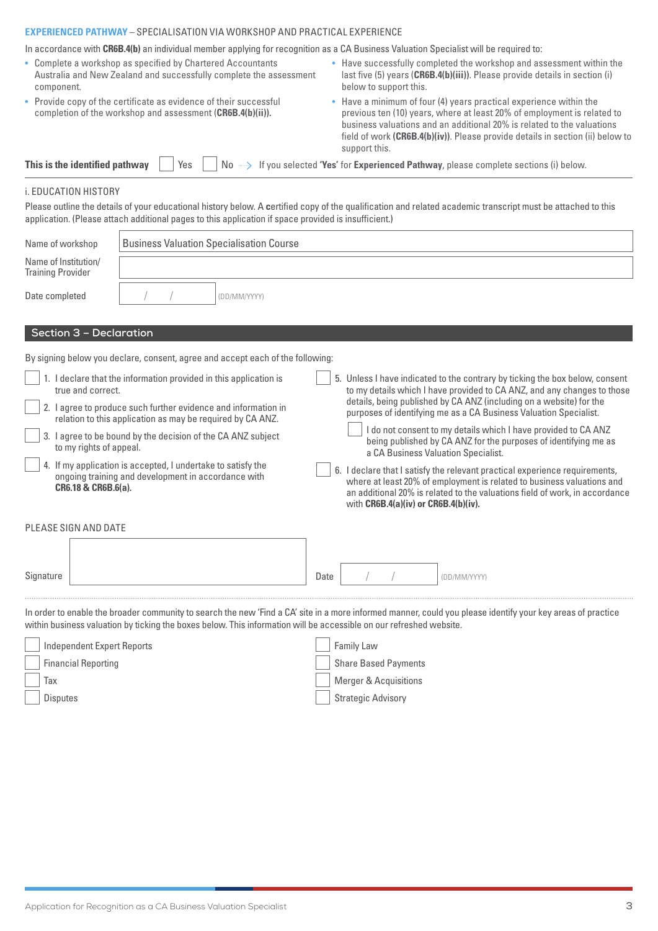## **EXPERIENCED PATHWAY** – SPECIALISATION VIA WORKSHOP AND PRACTICAL EXPERIENCE

In accordance with **CR6B.4(b)** an individual member applying for recognition as a CA Business Valuation Specialist will be required to:

| • Complete a workshop as specified by Chartered Accountants<br>Australia and New Zealand and successfully complete the assessment<br>component. | • Have successfully completed the workshop and assessment within the<br>last five (5) years (CR6B.4(b)(iii)). Please provide details in section (i)<br>below to support this.                                                                                                                                              |
|-------------------------------------------------------------------------------------------------------------------------------------------------|----------------------------------------------------------------------------------------------------------------------------------------------------------------------------------------------------------------------------------------------------------------------------------------------------------------------------|
| • Provide copy of the certificate as evidence of their successful<br>completion of the workshop and assessment (CR6B.4(b)(ii)).                 | • Have a minimum of four (4) years practical experience within the<br>previous ten (10) years, where at least 20% of employment is related to<br>business valuations and an additional 20% is related to the valuations<br>field of work (CR6B.4(b)(iv)). Please provide details in section (ii) below to<br>support this. |
| This is the identified pathway<br>Yes                                                                                                           | $No \longrightarrow$ If you selected 'Yes' for Experienced Pathway, please complete sections (i) below.                                                                                                                                                                                                                    |
| i. EDUCATION HISTORY                                                                                                                            |                                                                                                                                                                                                                                                                                                                            |
| application. (Please attach additional pages to this application if space provided is insufficient.)                                            | Please outline the details of your educational history below. A certified copy of the qualification and related academic transcript must be attached to this                                                                                                                                                               |

| Name of workshop                                 | <b>Business Valuation Specialisation Course</b> |              |
|--------------------------------------------------|-------------------------------------------------|--------------|
| Name of Institution/<br><b>Training Provider</b> |                                                 |              |
| Date completed                                   |                                                 | (DD/MM/YYYY) |

## **Section 3 – Declaration**

By signing below you declare, consent, agree and accept each of the following:

| 1. I declare that the information provided in this application is<br>true and correct.                                                     | 5. Unless I have indicated to the contrary by ticking the box below, consent<br>to my details which I have provided to CA ANZ, and any changes to those                                                                                                                           |
|--------------------------------------------------------------------------------------------------------------------------------------------|-----------------------------------------------------------------------------------------------------------------------------------------------------------------------------------------------------------------------------------------------------------------------------------|
| 2. I agree to produce such further evidence and information in<br>relation to this application as may be required by CA ANZ.               | details, being published by CA ANZ (including on a website) for the<br>purposes of identifying me as a CA Business Valuation Specialist.                                                                                                                                          |
| 3. I agree to be bound by the decision of the CA ANZ subject<br>to my rights of appeal.                                                    | I do not consent to my details which I have provided to CA ANZ<br>being published by CA ANZ for the purposes of identifying me as<br>a CA Business Valuation Specialist.                                                                                                          |
| 4. If my application is accepted, I undertake to satisfy the<br>ongoing training and development in accordance with<br>CR6.18 & CR6B.6(a). | 6. I declare that I satisfy the relevant practical experience requirements,<br>where at least 20% of employment is related to business valuations and<br>an additional 20% is related to the valuations field of work, in accordance<br>with $CR6B.4(a)(iv)$ or $CR6B.4(b)(iv)$ . |
| PLEASE SIGN AND DATE                                                                                                                       |                                                                                                                                                                                                                                                                                   |
|                                                                                                                                            |                                                                                                                                                                                                                                                                                   |

| $\sim$<br>Signature | Date |  | (DD/MM/YYYY) |
|---------------------|------|--|--------------|
|                     |      |  |              |

In order to enable the broader community to search the new 'Find a CA' site in a more informed manner, could you please identify your key areas of practice within business valuation by ticking the boxes below. This information will be accessible on our refreshed website.

| <b>Independent Expert Reports</b> | Family Law                  |
|-----------------------------------|-----------------------------|
| <b>Financial Reporting</b>        | <b>Share Based Payments</b> |
| Tax                               | Merger & Acquisitions       |
| <b>Disputes</b>                   | <b>Strategic Advisory</b>   |
|                                   |                             |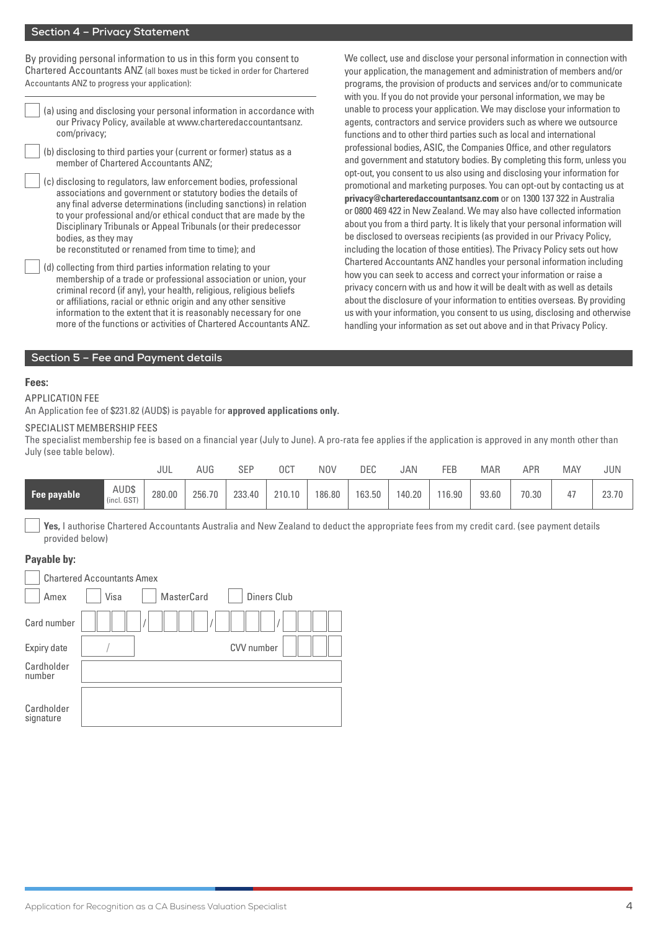## **Section 4 – Privacy Statement**

By providing personal information to us in this form you consent to Chartered Accountants ANZ (all boxes must be ticked in order for Chartered Accountants ANZ to progress your application):

- (a) using and disclosing your personal information in accordance with our Privacy Policy, available at [www.charteredaccountantsanz.](http://www.charteredaccountantsanz.com/privacy) [com/privacy](http://www.charteredaccountantsanz.com/privacy);
- (b) disclosing to third parties your (current or former) status as a member of Chartered Accountants ANZ;
- (c) disclosing to regulators, law enforcement bodies, professional associations and government or statutory bodies the details of any final adverse determinations (including sanctions) in relation to your professional and/or ethical conduct that are made by the Disciplinary Tribunals or Appeal Tribunals (or their predecessor bodies, as they may
	- be reconstituted or renamed from time to time); and
- (d) collecting from third parties information relating to your membership of a trade or professional association or union, your criminal record (if any), your health, religious, religious beliefs or affiliations, racial or ethnic origin and any other sensitive information to the extent that it is reasonably necessary for one more of the functions or activities of Chartered Accountants ANZ.

We collect, use and disclose your personal information in connection with your application, the management and administration of members and/or programs, the provision of products and services and/or to communicate with you. If you do not provide your personal information, we may be unable to process your application. We may disclose your information to agents, contractors and service providers such as where we outsource functions and to other third parties such as local and international professional bodies, ASIC, the Companies Office, and other regulators and government and statutory bodies. By completing this form, unless you opt-out, you consent to us also using and disclosing your information for promotional and marketing purposes. You can opt-out by contacting us at **[privacy@charteredaccountantsanz.com](mailto:privacy%40charteredaccountantsanz.com?subject=)** or on 1300 137 322 in Australia or 0800 469 422 in New Zealand. We may also have collected information about you from a third party. It is likely that your personal information will be disclosed to overseas recipients (as provided in our Privacy Policy, including the location of those entities). The Privacy Policy sets out how Chartered Accountants ANZ handles your personal information including how you can seek to access and correct your information or raise a privacy concern with us and how it will be dealt with as well as details about the disclosure of your information to entities overseas. By providing us with your information, you consent to us using, disclosing and otherwise handling your information as set out above and in that Privacy Policy.

#### **Section 5 – Fee and Payment details**

### **Fees:**

#### APPLICATION FEE

An Application fee of \$231.82 (AUD\$) is payable for **approved applications only.**

#### SPECIALIST MEMBERSHIP FEES

The specialist membership fee is based on a financial year (July to June). A pro-rata fee applies if the application is approved in any month other than July (see table below).

|             |                      | JUL    | AUG    | SEP    | 0CT    | NOV    | DEC    | JAN    | FEB    | <b>MAR</b> | APP   | <b>MAY</b>     | JUN   |
|-------------|----------------------|--------|--------|--------|--------|--------|--------|--------|--------|------------|-------|----------------|-------|
| Fee payable | AUD\$<br>(incl. GST) | 280.00 | 256.70 | 233.40 | 210.10 | 186.80 | 163.50 | 140.20 | 116.90 | 93.60      | 70.30 | $\overline{A}$ | 23.70 |

 **Yes,** I authorise Chartered Accountants Australia and New Zealand to deduct the appropriate fees from my credit card. (see payment details provided below)

#### **Payable by:**

|                         | <b>Chartered Accountants Amex</b> |                   |                   |  |
|-------------------------|-----------------------------------|-------------------|-------------------|--|
| Amex                    | Visa                              | <b>MasterCard</b> | Diners Club       |  |
| Card number             |                                   |                   |                   |  |
| Expiry date             |                                   |                   | <b>CVV</b> number |  |
| Cardholder<br>number    |                                   |                   |                   |  |
| Cardholder<br>signature |                                   |                   |                   |  |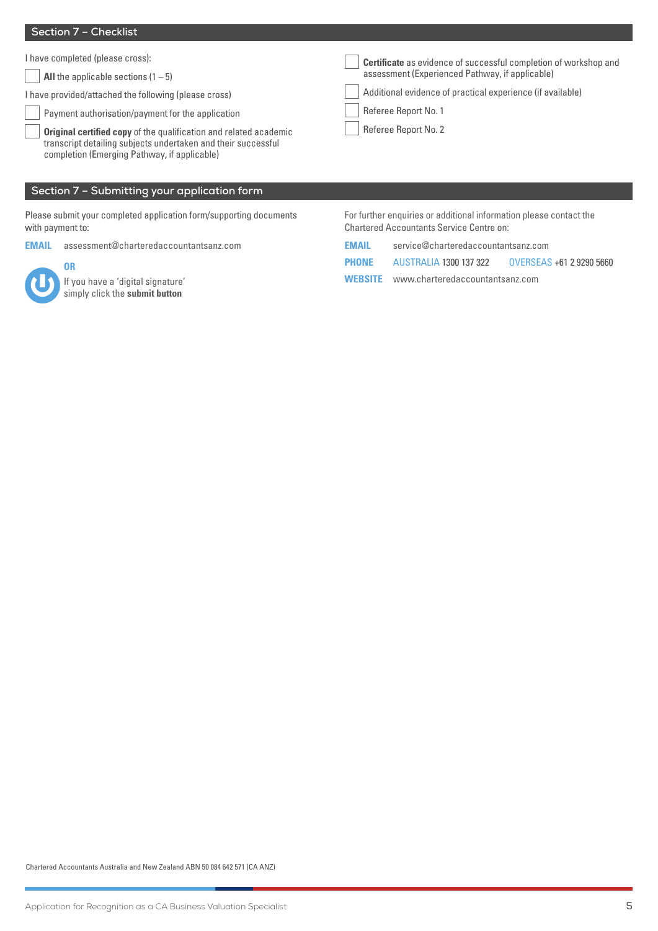## **Section 7 – Checklist**

I have completed (please cross):

**All** the applicable sections  $(1 - 5)$ 

I have provided/attached the following (please cross)

Payment authorisation/payment for the application

**Original certified copy** of the qualification and related academic transcript detailing subjects undertaken and their successful completion (Emerging Pathway, if applicable)

## **Section 7 – Submitting your application form**

Please submit your completed application form/supporting documents with payment to:

**EMAIL** [assessment@charteredaccountantsanz.com](mailto:assessment@charteredaccountantsanz.com)



**OR**

If you have a 'digital signature' simply click the **submit button**

For further enquiries or additional information please contact the Chartered Accountants Service Centre on:

| <b>EMAIL</b> | service@charteredaccountantsanz.com            |                          |  |  |  |  |
|--------------|------------------------------------------------|--------------------------|--|--|--|--|
| PHONE        | AUSTRALIA 1300 137 322                         | OVERSEAS +61 2 9290 5660 |  |  |  |  |
|              | <b>WEBSITE</b> www.charteredaccountantsanz.com |                          |  |  |  |  |

**Certificate** as evidence of successful completion of workshop and

assessment (Experienced Pathway, if applicable)

 Referee Report No. 1 Referee Report No. 2

Additional evidence of practical experience (if available)

Chartered Accountants Australia and New Zealand ABN 50 084 642 571 (CA ANZ)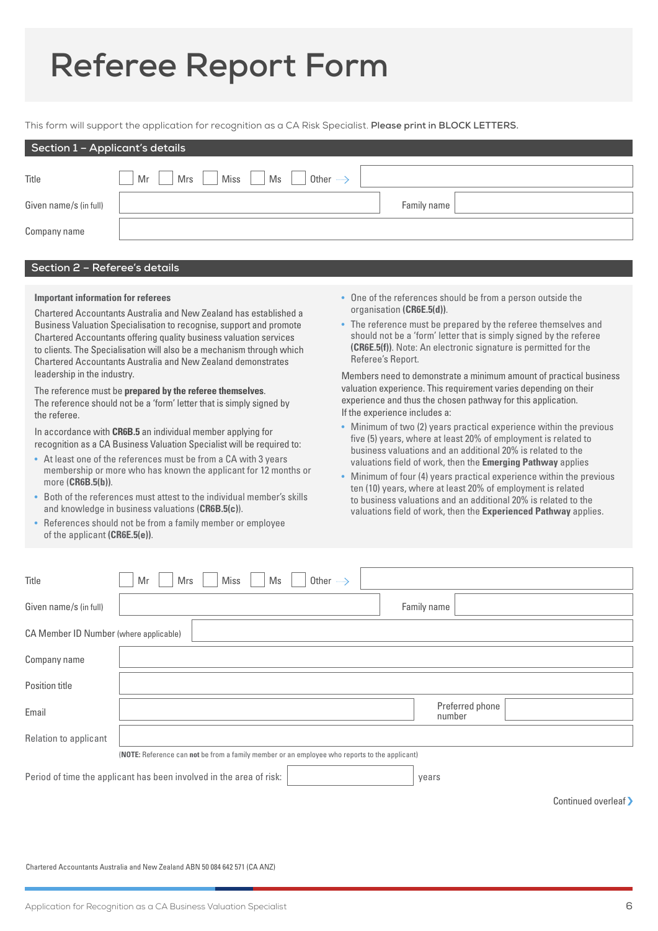# **Referee Report Form**

This form will support the application for recognition as a CA Risk Specialist. **Please print in BLOCK LETTERS.** 

| Section 1 - Applicant's details |                                                    |             |  |  |  |
|---------------------------------|----------------------------------------------------|-------------|--|--|--|
| Title                           | Mr<br>Miss<br>Ms<br>Mrs<br>Other $\longrightarrow$ |             |  |  |  |
| Given name/s (in full)          |                                                    | Family name |  |  |  |
| Company name                    |                                                    |             |  |  |  |
|                                 |                                                    |             |  |  |  |

## **Section 2 – Referee's details**

## **Important information for referees**

Chartered Accountants Australia and New Zealand has established a Business Valuation Specialisation to recognise, support and promote Chartered Accountants offering quality business valuation services to clients. The Specialisation will also be a mechanism through which Chartered Accountants Australia and New Zealand demonstrates leadership in the industry.

The reference must be **prepared by the referee themselves**. The reference should not be a 'form' letter that is simply signed by the referee.

In accordance with **CR6B.5** an individual member applying for recognition as a CA Business Valuation Specialist will be required to:

- At least one of the references must be from a CA with 3 years membership or more who has known the applicant for 12 months or more (**CR6B.5(b))**.
- Both of the references must attest to the individual member's skills and knowledge in business valuations (**CR6B.5(c)**).
- References should not be from a family member or employee of the applicant **(CR6E.5(e))**.
- One of the references should be from a person outside the organisation **(CR6E.5(d))**.
- The reference must be prepared by the referee themselves and should not be a 'form' letter that is simply signed by the referee **(CR6E.5(f))**. Note: An electronic signature is permitted for the Referee's Report.

Members need to demonstrate a minimum amount of practical business valuation experience. This requirement varies depending on their experience and thus the chosen pathway for this application. If the experience includes a:

- Minimum of two (2) years practical experience within the previous five (5) years, where at least 20% of employment is related to business valuations and an additional 20% is related to the valuations field of work, then the **Emerging Pathway** applies
- Minimum of four (4) years practical experience within the previous ten (10) years, where at least 20% of employment is related to business valuations and an additional 20% is related to the valuations field of work, then the **Experienced Pathway** applies.

| Title                                                                                         | <b>Miss</b><br>Other $\longrightarrow$<br>Mrs<br>Mr<br>Ms |                           |  |  |  |
|-----------------------------------------------------------------------------------------------|-----------------------------------------------------------|---------------------------|--|--|--|
| Given name/s (in full)                                                                        |                                                           | Family name               |  |  |  |
| CA Member ID Number (where applicable)                                                        |                                                           |                           |  |  |  |
| Company name                                                                                  |                                                           |                           |  |  |  |
| Position title                                                                                |                                                           |                           |  |  |  |
| Email                                                                                         |                                                           | Preferred phone<br>number |  |  |  |
| Relation to applicant                                                                         |                                                           |                           |  |  |  |
| (NOTE: Reference can not be from a family member or an employee who reports to the applicant) |                                                           |                           |  |  |  |
| Period of time the applicant has been involved in the area of risk:<br>years                  |                                                           |                           |  |  |  |

Continued overleaf >

Chartered Accountants Australia and New Zealand ABN 50 084 642 571 (CA ANZ)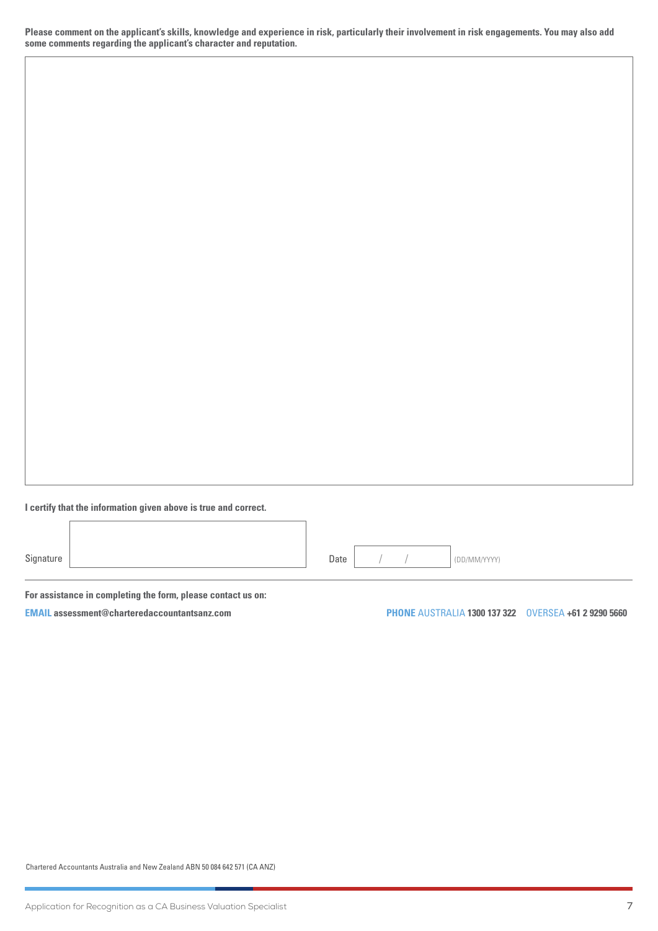**Please comment on the applicant's skills, knowledge and experience in risk, particularly their involvement in risk engagements. You may also add some comments regarding the applicant's character and reputation.** 

**I certify that the information given above is true and correct.**

Signature **Date / / / (DD/MM/YYYY)** 

**For assistance in completing the form, please contact us on:**

**EMAIL [assessment@charteredaccountantsanz.com](mailto:assessment%40charteredaccountantsanz.com?subject=) PHONE** AUSTRALIA **1300 137 322** OVERSEA **+61 2 9290 5660**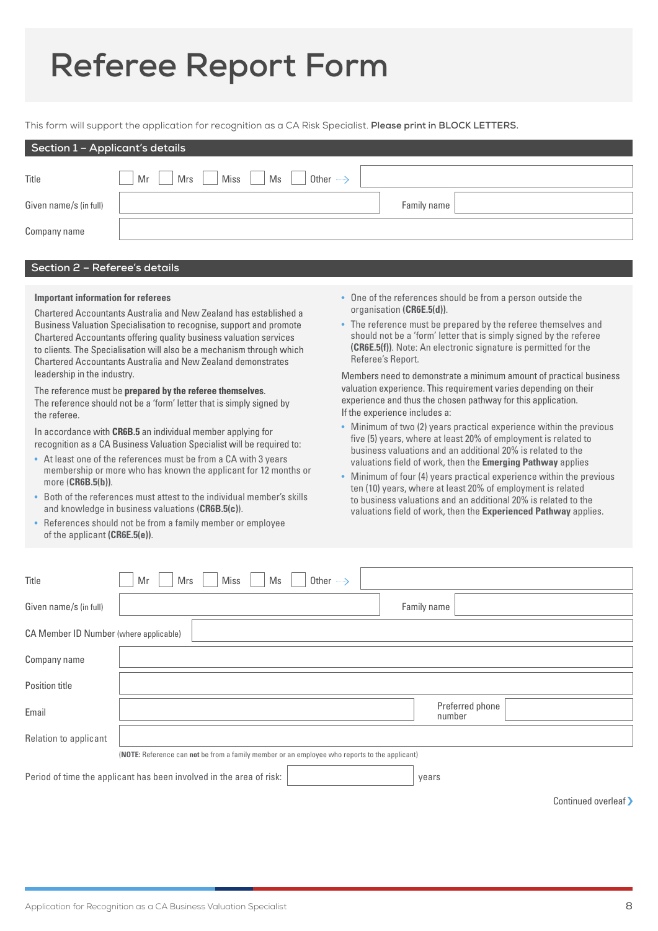# **Referee Report Form**

This form will support the application for recognition as a CA Risk Specialist. **Please print in BLOCK LETTERS.** 

| Section 1 - Applicant's details |                                                    |             |  |  |  |
|---------------------------------|----------------------------------------------------|-------------|--|--|--|
| Title                           | Mr<br>Miss<br>Ms<br>Mrs<br>Other $\longrightarrow$ |             |  |  |  |
| Given name/s (in full)          |                                                    | Family name |  |  |  |
| Company name                    |                                                    |             |  |  |  |
|                                 |                                                    |             |  |  |  |

## **Section 2 – Referee's details**

## **Important information for referees**

Chartered Accountants Australia and New Zealand has established a Business Valuation Specialisation to recognise, support and promote Chartered Accountants offering quality business valuation services to clients. The Specialisation will also be a mechanism through which Chartered Accountants Australia and New Zealand demonstrates leadership in the industry.

The reference must be **prepared by the referee themselves**. The reference should not be a 'form' letter that is simply signed by the referee.

In accordance with **CR6B.5** an individual member applying for recognition as a CA Business Valuation Specialist will be required to:

- At least one of the references must be from a CA with 3 years membership or more who has known the applicant for 12 months or more (**CR6B.5(b))**.
- Both of the references must attest to the individual member's skills and knowledge in business valuations (**CR6B.5(c)**).
- References should not be from a family member or employee of the applicant **(CR6E.5(e))**.
- One of the references should be from a person outside the organisation **(CR6E.5(d))**.
- The reference must be prepared by the referee themselves and should not be a 'form' letter that is simply signed by the referee **(CR6E.5(f))**. Note: An electronic signature is permitted for the Referee's Report.

Members need to demonstrate a minimum amount of practical business valuation experience. This requirement varies depending on their experience and thus the chosen pathway for this application. If the experience includes a:

- Minimum of two (2) years practical experience within the previous five (5) years, where at least 20% of employment is related to business valuations and an additional 20% is related to the valuations field of work, then the **Emerging Pathway** applies
- Minimum of four (4) years practical experience within the previous ten (10) years, where at least 20% of employment is related to business valuations and an additional 20% is related to the valuations field of work, then the **Experienced Pathway** applies.

| Title                                                                                         | Mrs<br><b>Miss</b><br>Other $\longrightarrow$<br>Mr<br>Ms |                           |  |  |
|-----------------------------------------------------------------------------------------------|-----------------------------------------------------------|---------------------------|--|--|
| Given name/s (in full)                                                                        |                                                           | Family name               |  |  |
| CA Member ID Number (where applicable)                                                        |                                                           |                           |  |  |
| Company name                                                                                  |                                                           |                           |  |  |
| Position title                                                                                |                                                           |                           |  |  |
| Email                                                                                         |                                                           | Preferred phone<br>number |  |  |
| Relation to applicant                                                                         |                                                           |                           |  |  |
| (NOTE: Reference can not be from a family member or an employee who reports to the applicant) |                                                           |                           |  |  |
| Period of time the applicant has been involved in the area of risk:<br>years                  |                                                           |                           |  |  |

Continued overleaf >